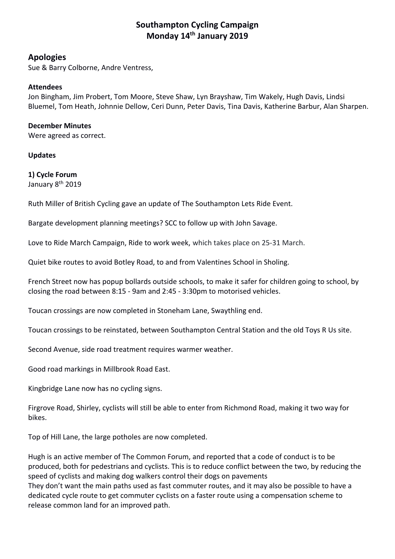# **Southampton Cycling Campaign Monday 14th January 2019**

### **Apologies**

Sue & Barry Colborne, Andre Ventress,

#### **Attendees**

Jon Bingham, Jim Probert, Tom Moore, Steve Shaw, Lyn Brayshaw, Tim Wakely, Hugh Davis, Lindsi Bluemel, Tom Heath, Johnnie Dellow, Ceri Dunn, Peter Davis, Tina Davis, Katherine Barbur, Alan Sharpen.

#### **December Minutes**

Were agreed as correct.

#### **Updates**

# **1) Cycle Forum**

January 8<sup>th</sup> 2019

Ruth Miller of British Cycling gave an update of The Southampton Lets Ride Event.

Bargate development planning meetings? SCC to follow up with John Savage.

Love to Ride March Campaign, Ride to work week, which takes place on 25‐31 March.

Quiet bike routes to avoid Botley Road, to and from Valentines School in Sholing.

French Street now has popup bollards outside schools, to make it safer for children going to school, by closing the road between 8:15 ‐ 9am and 2:45 ‐ 3:30pm to motorised vehicles.

Toucan crossings are now completed in Stoneham Lane, Swaythling end.

Toucan crossings to be reinstated, between Southampton Central Station and the old Toys R Us site.

Second Avenue, side road treatment requires warmer weather.

Good road markings in Millbrook Road East.

Kingbridge Lane now has no cycling signs.

Firgrove Road, Shirley, cyclists will still be able to enter from Richmond Road, making it two way for bikes.

Top of Hill Lane, the large potholes are now completed.

Hugh is an active member of The Common Forum, and reported that a code of conduct is to be produced, both for pedestrians and cyclists. This is to reduce conflict between the two, by reducing the speed of cyclists and making dog walkers control their dogs on pavements They don't want the main paths used as fast commuter routes, and it may also be possible to have a dedicated cycle route to get commuter cyclists on a faster route using a compensation scheme to release common land for an improved path.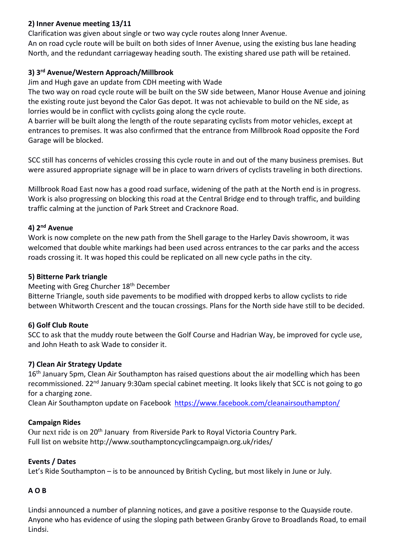### **2) Inner Avenue meeting 13/11**

Clarification was given about single or two way cycle routes along Inner Avenue. An on road cycle route will be built on both sides of Inner Avenue, using the existing bus lane heading North, and the redundant carriageway heading south. The existing shared use path will be retained.

## **3) 3rd Avenue/Western Approach/Millbrook**

Jim and Hugh gave an update from CDH meeting with Wade

The two way on road cycle route will be built on the SW side between, Manor House Avenue and joining the existing route just beyond the Calor Gas depot. It was not achievable to build on the NE side, as lorries would be in conflict with cyclists going along the cycle route.

A barrier will be built along the length of the route separating cyclists from motor vehicles, except at entrances to premises. It was also confirmed that the entrance from Millbrook Road opposite the Ford Garage will be blocked.

SCC still has concerns of vehicles crossing this cycle route in and out of the many business premises. But were assured appropriate signage will be in place to warn drivers of cyclists traveling in both directions.

Millbrook Road East now has a good road surface, widening of the path at the North end is in progress. Work is also progressing on blocking this road at the Central Bridge end to through traffic, and building traffic calming at the junction of Park Street and Cracknore Road.

### **4) 2nd Avenue**

Work is now complete on the new path from the Shell garage to the Harley Davis showroom, it was welcomed that double white markings had been used across entrances to the car parks and the access roads crossing it. It was hoped this could be replicated on all new cycle paths in the city.

## **5) Bitterne Park triangle**

Meeting with Greg Churcher 18th December

Bitterne Triangle, south side pavements to be modified with dropped kerbs to allow cyclists to ride between Whitworth Crescent and the toucan crossings. Plans for the North side have still to be decided.

# **6) Golf Club Route**

SCC to ask that the muddy route between the Golf Course and Hadrian Way, be improved for cycle use, and John Heath to ask Wade to consider it.

# **7) Clean Air Strategy Update**

16<sup>th</sup> January 5pm, Clean Air Southampton has raised questions about the air modelling which has been recommissioned. 22<sup>nd</sup> January 9:30am special cabinet meeting. It looks likely that SCC is not going to go for a charging zone.

Clean Air Southampton update on Facebook https://www.facebook.com/cleanairsouthampton/

# **Campaign Rides**

Our next ride is on 20th January from Riverside Park to Royal Victoria Country Park. Full list on website http://www.southamptoncyclingcampaign.org.uk/rides/

# **Events / Dates**

Let's Ride Southampton – is to be announced by British Cycling, but most likely in June or July.

# **A O B**

Lindsi announced a number of planning notices, and gave a positive response to the Quayside route. Anyone who has evidence of using the sloping path between Granby Grove to Broadlands Road, to email Lindsi.